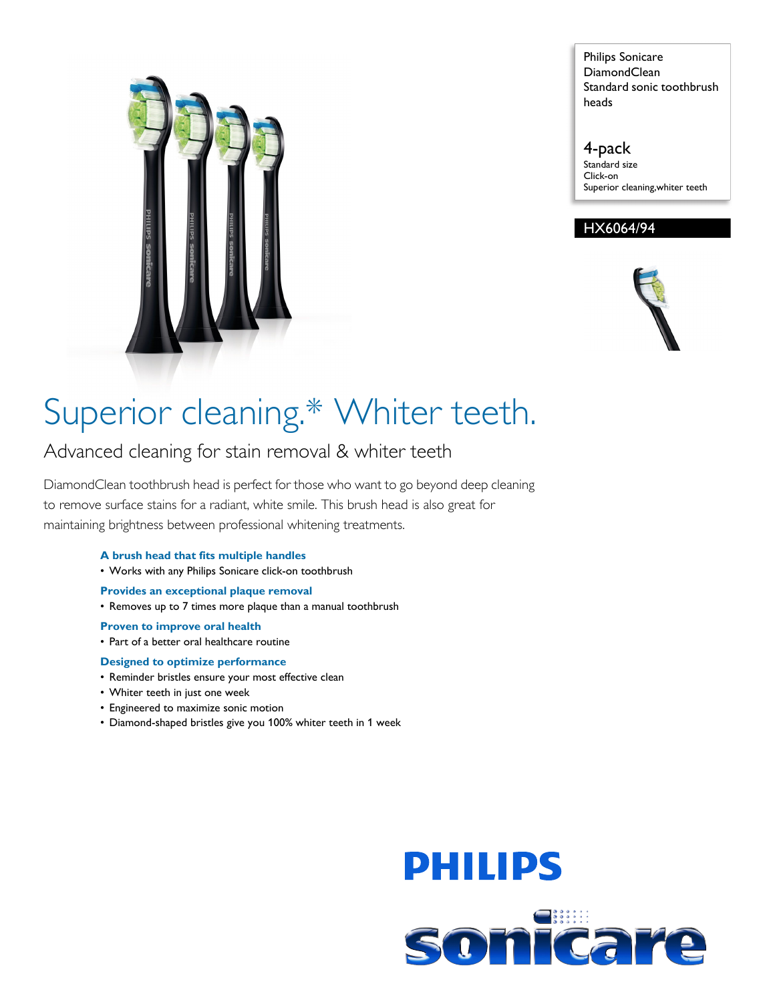

Philips Sonicare DiamondClean Standard sonic toothbrush heads

4-pack Standard size Click-on Superior cleaning,whiter teeth

# HX6064/94



# Superior cleaning.\* Whiter teeth.

# Advanced cleaning for stain removal & whiter teeth

DiamondClean toothbrush head is perfect for those who want to go beyond deep cleaning to remove surface stains for a radiant, white smile. This brush head is also great for maintaining brightness between professional whitening treatments.

# **A brush head that fits multiple handles**

• Works with any Philips Sonicare click-on toothbrush

## **Provides an exceptional plaque removal**

• Removes up to 7 times more plaque than a manual toothbrush

#### **Proven to improve oral health**

• Part of a better oral healthcare routine

## **Designed to optimize performance**

- Reminder bristles ensure your most effective clean
- Whiter teeth in just one week
- Engineered to maximize sonic motion
- Diamond-shaped bristles give you 100% whiter teeth in 1 week

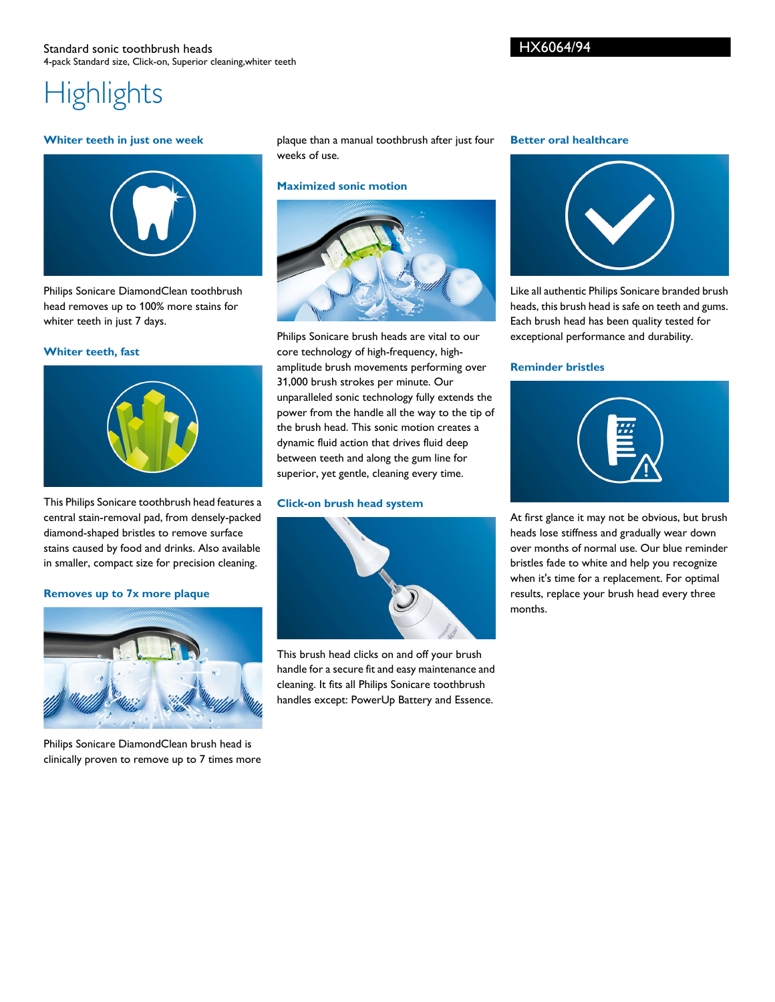# **Highlights**

#### **Whiter teeth in just one week**



Philips Sonicare DiamondClean toothbrush head removes up to 100% more stains for whiter teeth in just 7 days.

#### **Whiter teeth, fast**



This Philips Sonicare toothbrush head features a central stain-removal pad, from densely-packed diamond-shaped bristles to remove surface stains caused by food and drinks. Also available in smaller, compact size for precision cleaning.

#### **Removes up to 7x more plaque**



Philips Sonicare DiamondClean brush head is clinically proven to remove up to 7 times more plaque than a manual toothbrush after just four weeks of use.

#### **Maximized sonic motion**



Philips Sonicare brush heads are vital to our core technology of high-frequency, highamplitude brush movements performing over 31,000 brush strokes per minute. Our unparalleled sonic technology fully extends the power from the handle all the way to the tip of the brush head. This sonic motion creates a dynamic fluid action that drives fluid deep between teeth and along the gum line for superior, yet gentle, cleaning every time.

#### **Click-on brush head system**



This brush head clicks on and off your brush handle for a secure fit and easy maintenance and cleaning. It fits all Philips Sonicare toothbrush handles except: PowerUp Battery and Essence.

#### **Better oral healthcare**



Like all authentic Philips Sonicare branded brush heads, this brush head is safe on teeth and gums. Each brush head has been quality tested for exceptional performance and durability.

#### **Reminder bristles**



At first glance it may not be obvious, but brush heads lose stiffness and gradually wear down over months of normal use. Our blue reminder bristles fade to white and help you recognize when it's time for a replacement. For optimal results, replace your brush head every three months.